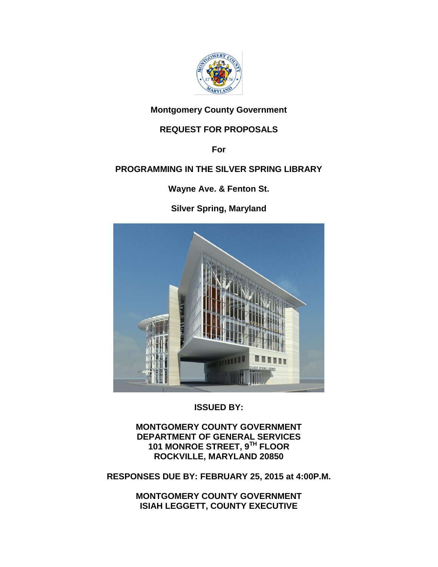

## **Montgomery County Government**

# **REQUEST FOR PROPOSALS**

**For**

# **PROGRAMMING IN THE SILVER SPRING LIBRARY**

**Wayne Ave. & Fenton St.**

**Silver Spring, Maryland**



**ISSUED BY:**

**MONTGOMERY COUNTY GOVERNMENT DEPARTMENT OF GENERAL SERVICES 101 MONROE STREET, 9TH FLOOR ROCKVILLE, MARYLAND 20850**

**RESPONSES DUE BY: FEBRUARY 25, 2015 at 4:00P.M.**

**MONTGOMERY COUNTY GOVERNMENT ISIAH LEGGETT, COUNTY EXECUTIVE**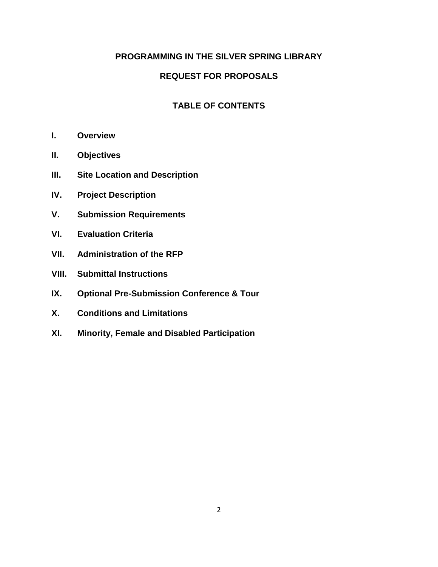## **PROGRAMMING IN THE SILVER SPRING LIBRARY**

### **REQUEST FOR PROPOSALS**

### **TABLE OF CONTENTS**

- **I. Overview**
- **II. Objectives**
- **III. Site Location and Description**
- **IV. Project Description**
- **V. Submission Requirements**
- **VI. Evaluation Criteria**
- **VII. Administration of the RFP**
- **VIII. Submittal Instructions**
- **IX. Optional Pre-Submission Conference & Tour**
- **X. Conditions and Limitations**
- **XI. Minority, Female and Disabled Participation**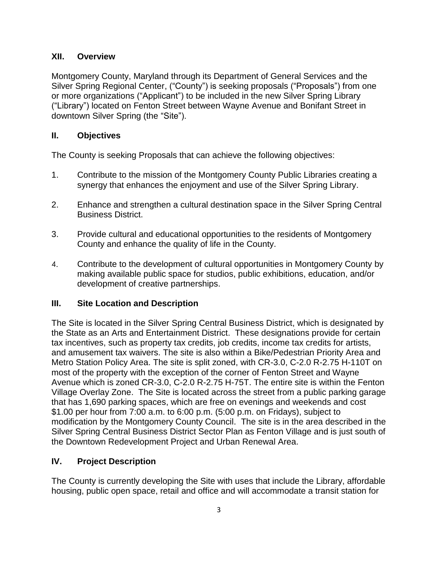### **XII. Overview**

Montgomery County, Maryland through its Department of General Services and the Silver Spring Regional Center, ("County") is seeking proposals ("Proposals") from one or more organizations ("Applicant") to be included in the new Silver Spring Library ("Library") located on Fenton Street between Wayne Avenue and Bonifant Street in downtown Silver Spring (the "Site").

## **II. Objectives**

The County is seeking Proposals that can achieve the following objectives:

- 1. Contribute to the mission of the Montgomery County Public Libraries creating a synergy that enhances the enjoyment and use of the Silver Spring Library.
- 2. Enhance and strengthen a cultural destination space in the Silver Spring Central Business District.
- 3. Provide cultural and educational opportunities to the residents of Montgomery County and enhance the quality of life in the County.
- 4. Contribute to the development of cultural opportunities in Montgomery County by making available public space for studios, public exhibitions, education, and/or development of creative partnerships.

## **III. Site Location and Description**

The Site is located in the Silver Spring Central Business District, which is designated by the State as an Arts and Entertainment District. These designations provide for certain tax incentives, such as property tax credits, job credits, income tax credits for artists, and amusement tax waivers. The site is also within a Bike/Pedestrian Priority Area and Metro Station Policy Area. The site is split zoned, with CR-3.0, C-2.0 R-2.75 H-110T on most of the property with the exception of the corner of Fenton Street and Wayne Avenue which is zoned CR-3.0, C-2.0 R-2.75 H-75T. The entire site is within the Fenton Village Overlay Zone. The Site is located across the street from a public parking garage that has 1,690 parking spaces, which are free on evenings and weekends and cost \$1.00 per hour from 7:00 a.m. to 6:00 p.m. (5:00 p.m. on Fridays), subject to modification by the Montgomery County Council. The site is in the area described in the Silver Spring Central Business District Sector Plan as Fenton Village and is just south of the Downtown Redevelopment Project and Urban Renewal Area.

## **IV. Project Description**

The County is currently developing the Site with uses that include the Library, affordable housing, public open space, retail and office and will accommodate a transit station for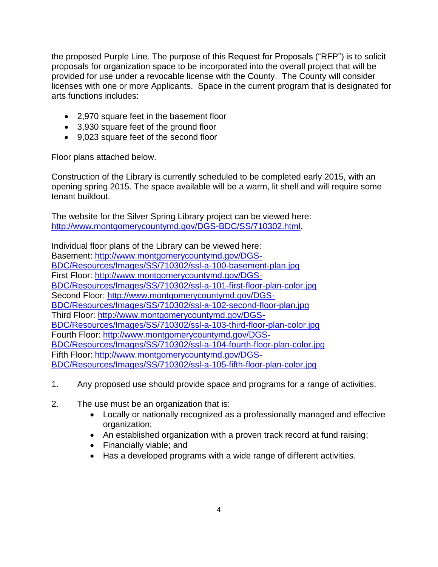the proposed Purple Line. The purpose of this Request for Proposals ("RFP") is to solicit proposals for organization space to be incorporated into the overall project that will be provided for use under a revocable license with the County. The County will consider licenses with one or more Applicants. Space in the current program that is designated for arts functions includes:

- 2,970 square feet in the basement floor
- 3,930 square feet of the ground floor
- 9,023 square feet of the second floor

Floor plans attached below.

Construction of the Library is currently scheduled to be completed early 2015, with an opening spring 2015. The space available will be a warm, lit shell and will require some tenant buildout.

The website for the Silver Spring Library project can be viewed here: [http://www.montgomerycountymd.gov/DGS-BDC/SS/710302.html.](http://www.montgomerycountymd.gov/DGS-BDC/SS/710302.html)

Individual floor plans of the Library can be viewed here: Basement: [http://www.montgomerycountymd.gov/DGS-](http://www.montgomerycountymd.gov/DGS-BDC/Resources/Images/SS/710302/ssl-a-100-basement-plan.jpg)[BDC/Resources/Images/SS/710302/ssl-a-100-basement-plan.jpg](http://www.montgomerycountymd.gov/DGS-BDC/Resources/Images/SS/710302/ssl-a-100-basement-plan.jpg) First Floor: [http://www.montgomerycountymd.gov/DGS-](http://www.montgomerycountymd.gov/DGS-BDC/Resources/Images/SS/710302/ssl-a-101-first-floor-plan-color.jpg)[BDC/Resources/Images/SS/710302/ssl-a-101-first-floor-plan-color.jpg](http://www.montgomerycountymd.gov/DGS-BDC/Resources/Images/SS/710302/ssl-a-101-first-floor-plan-color.jpg) Second Floor: [http://www.montgomerycountymd.gov/DGS-](http://www.montgomerycountymd.gov/DGS-BDC/Resources/Images/SS/710302/ssl-a-102-second-floor-plan.jpg)[BDC/Resources/Images/SS/710302/ssl-a-102-second-floor-plan.jpg](http://www.montgomerycountymd.gov/DGS-BDC/Resources/Images/SS/710302/ssl-a-102-second-floor-plan.jpg) Third Floor: [http://www.montgomerycountymd.gov/DGS-](http://www.montgomerycountymd.gov/DGS-BDC/Resources/Images/SS/710302/ssl-a-103-third-floor-plan-color.jpg)[BDC/Resources/Images/SS/710302/ssl-a-103-third-floor-plan-color.jpg](http://www.montgomerycountymd.gov/DGS-BDC/Resources/Images/SS/710302/ssl-a-103-third-floor-plan-color.jpg) Fourth Floor: [http://www.montgomerycountymd.gov/DGS-](http://www.montgomerycountymd.gov/DGS-BDC/Resources/Images/SS/710302/ssl-a-104-fourth-floor-plan-color.jpg)[BDC/Resources/Images/SS/710302/ssl-a-104-fourth-floor-plan-color.jpg](http://www.montgomerycountymd.gov/DGS-BDC/Resources/Images/SS/710302/ssl-a-104-fourth-floor-plan-color.jpg) Fifth Floor: [http://www.montgomerycountymd.gov/DGS-](http://www.montgomerycountymd.gov/DGS-BDC/Resources/Images/SS/710302/ssl-a-105-fifth-floor-plan-color.jpg)[BDC/Resources/Images/SS/710302/ssl-a-105-fifth-floor-plan-color.jpg](http://www.montgomerycountymd.gov/DGS-BDC/Resources/Images/SS/710302/ssl-a-105-fifth-floor-plan-color.jpg)

- 1. Any proposed use should provide space and programs for a range of activities.
- 2. The use must be an organization that is:
	- Locally or nationally recognized as a professionally managed and effective organization;
	- An established organization with a proven track record at fund raising;
	- Financially viable; and
	- Has a developed programs with a wide range of different activities.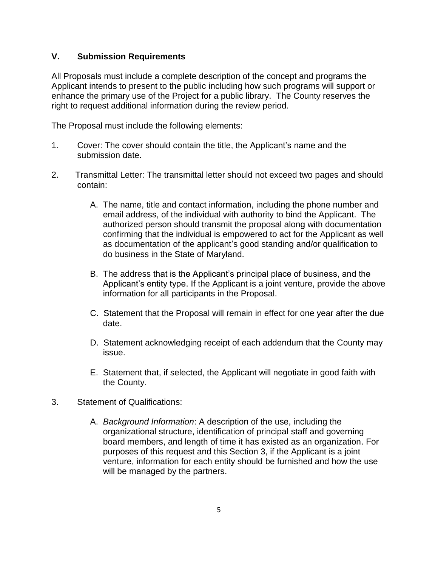### **V. Submission Requirements**

All Proposals must include a complete description of the concept and programs the Applicant intends to present to the public including how such programs will support or enhance the primary use of the Project for a public library. The County reserves the right to request additional information during the review period.

The Proposal must include the following elements:

- 1. Cover: The cover should contain the title, the Applicant's name and the submission date.
- 2. Transmittal Letter: The transmittal letter should not exceed two pages and should contain:
	- A. The name, title and contact information, including the phone number and email address, of the individual with authority to bind the Applicant. The authorized person should transmit the proposal along with documentation confirming that the individual is empowered to act for the Applicant as well as documentation of the applicant's good standing and/or qualification to do business in the State of Maryland.
	- B. The address that is the Applicant's principal place of business, and the Applicant's entity type. If the Applicant is a joint venture, provide the above information for all participants in the Proposal.
	- C. Statement that the Proposal will remain in effect for one year after the due date.
	- D. Statement acknowledging receipt of each addendum that the County may issue.
	- E. Statement that, if selected, the Applicant will negotiate in good faith with the County.
- 3. Statement of Qualifications:
	- A. *Background Information*: A description of the use, including the organizational structure, identification of principal staff and governing board members, and length of time it has existed as an organization. For purposes of this request and this Section 3, if the Applicant is a joint venture, information for each entity should be furnished and how the use will be managed by the partners.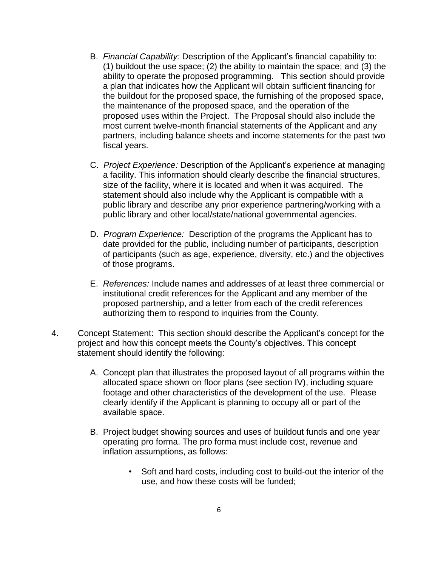- B. *Financial Capability:* Description of the Applicant's financial capability to: (1) buildout the use space; (2) the ability to maintain the space; and (3) the ability to operate the proposed programming. This section should provide a plan that indicates how the Applicant will obtain sufficient financing for the buildout for the proposed space, the furnishing of the proposed space, the maintenance of the proposed space, and the operation of the proposed uses within the Project. The Proposal should also include the most current twelve-month financial statements of the Applicant and any partners, including balance sheets and income statements for the past two fiscal years.
- C. *Project Experience:* Description of the Applicant's experience at managing a facility. This information should clearly describe the financial structures, size of the facility, where it is located and when it was acquired. The statement should also include why the Applicant is compatible with a public library and describe any prior experience partnering/working with a public library and other local/state/national governmental agencies.
- D. *Program Experience:* Description of the programs the Applicant has to date provided for the public, including number of participants, description of participants (such as age, experience, diversity, etc.) and the objectives of those programs.
- E. *References:* Include names and addresses of at least three commercial or institutional credit references for the Applicant and any member of the proposed partnership, and a letter from each of the credit references authorizing them to respond to inquiries from the County.
- 4. Concept Statement: This section should describe the Applicant's concept for the project and how this concept meets the County's objectives. This concept statement should identify the following:
	- A. Concept plan that illustrates the proposed layout of all programs within the allocated space shown on floor plans (see section IV), including square footage and other characteristics of the development of the use. Please clearly identify if the Applicant is planning to occupy all or part of the available space.
	- B. Project budget showing sources and uses of buildout funds and one year operating pro forma. The pro forma must include cost, revenue and inflation assumptions, as follows:
		- Soft and hard costs, including cost to build-out the interior of the use, and how these costs will be funded;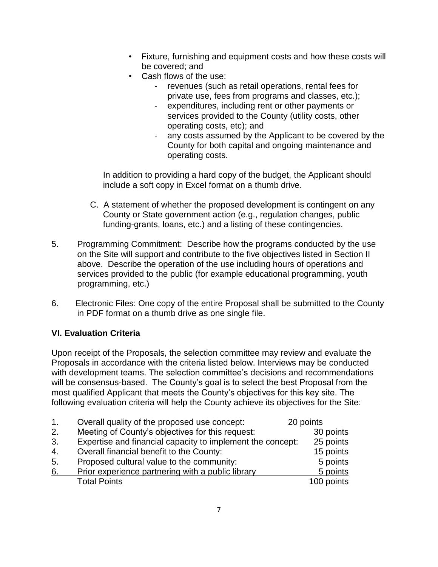- Fixture, furnishing and equipment costs and how these costs will be covered; and
- Cash flows of the use:
	- revenues (such as retail operations, rental fees for private use, fees from programs and classes, etc.);
	- expenditures, including rent or other payments or services provided to the County (utility costs, other operating costs, etc); and
	- any costs assumed by the Applicant to be covered by the County for both capital and ongoing maintenance and operating costs.

In addition to providing a hard copy of the budget, the Applicant should include a soft copy in Excel format on a thumb drive.

- C. A statement of whether the proposed development is contingent on any County or State government action (e.g., regulation changes, public funding-grants, loans, etc.) and a listing of these contingencies.
- 5. Programming Commitment: Describe how the programs conducted by the use on the Site will support and contribute to the five objectives listed in Section II above. Describe the operation of the use including hours of operations and services provided to the public (for example educational programming, youth programming, etc.)
- 6. Electronic Files: One copy of the entire Proposal shall be submitted to the County in PDF format on a thumb drive as one single file.

# **VI. Evaluation Criteria**

Upon receipt of the Proposals, the selection committee may review and evaluate the Proposals in accordance with the criteria listed below. Interviews may be conducted with development teams. The selection committee's decisions and recommendations will be consensus-based. The County's goal is to select the best Proposal from the most qualified Applicant that meets the County's objectives for this key site. The following evaluation criteria will help the County achieve its objectives for the Site:

| 1 <sub>1</sub> | Overall quality of the proposed use concept:               | 20 points  |
|----------------|------------------------------------------------------------|------------|
| 2.             | Meeting of County's objectives for this request:           | 30 points  |
| 3.             | Expertise and financial capacity to implement the concept: | 25 points  |
| 4.             | Overall financial benefit to the County:                   | 15 points  |
| 5.             | Proposed cultural value to the community:                  | 5 points   |
| 6.             | Prior experience partnering with a public library          | 5 points   |
|                | <b>Total Points</b>                                        | 100 points |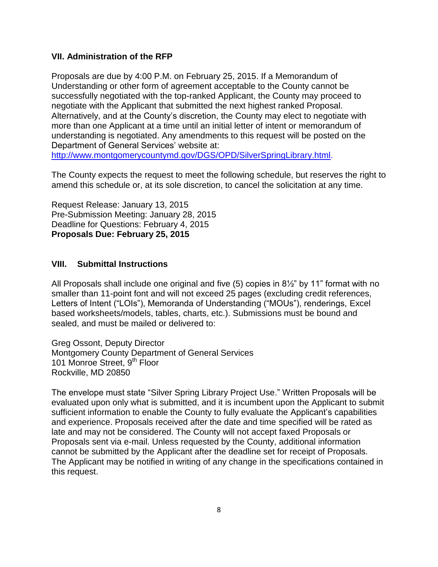#### **VII. Administration of the RFP**

Proposals are due by 4:00 P.M. on February 25, 2015. If a Memorandum of Understanding or other form of agreement acceptable to the County cannot be successfully negotiated with the top-ranked Applicant, the County may proceed to negotiate with the Applicant that submitted the next highest ranked Proposal. Alternatively, and at the County's discretion, the County may elect to negotiate with more than one Applicant at a time until an initial letter of intent or memorandum of understanding is negotiated. Any amendments to this request will be posted on the Department of General Services' website at: [http://www.montgomerycountymd.gov/DGS/OPD/SilverSpringLibrary.html.](http://www.montgomerycountymd.gov/DGS/OPD/SilverSpringLibrary.html)

The County expects the request to meet the following schedule, but reserves the right to amend this schedule or, at its sole discretion, to cancel the solicitation at any time.

Request Release: January 13, 2015 Pre-Submission Meeting: January 28, 2015 Deadline for Questions: February 4, 2015 **Proposals Due: February 25, 2015**

#### **VIII. Submittal Instructions**

All Proposals shall include one original and five (5) copies in 8½" by 11" format with no smaller than 11-point font and will not exceed 25 pages (excluding credit references, Letters of Intent ("LOIs"), Memoranda of Understanding ("MOUs"), renderings, Excel based worksheets/models, tables, charts, etc.). Submissions must be bound and sealed, and must be mailed or delivered to:

Greg Ossont, Deputy Director Montgomery County Department of General Services 101 Monroe Street, 9<sup>th</sup> Floor Rockville, MD 20850

The envelope must state "Silver Spring Library Project Use." Written Proposals will be evaluated upon only what is submitted, and it is incumbent upon the Applicant to submit sufficient information to enable the County to fully evaluate the Applicant's capabilities and experience. Proposals received after the date and time specified will be rated as late and may not be considered. The County will not accept faxed Proposals or Proposals sent via e-mail. Unless requested by the County, additional information cannot be submitted by the Applicant after the deadline set for receipt of Proposals. The Applicant may be notified in writing of any change in the specifications contained in this request.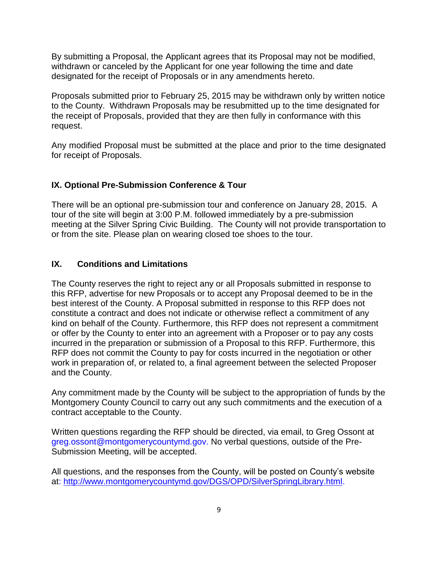By submitting a Proposal, the Applicant agrees that its Proposal may not be modified, withdrawn or canceled by the Applicant for one year following the time and date designated for the receipt of Proposals or in any amendments hereto.

Proposals submitted prior to February 25, 2015 may be withdrawn only by written notice to the County. Withdrawn Proposals may be resubmitted up to the time designated for the receipt of Proposals, provided that they are then fully in conformance with this request.

Any modified Proposal must be submitted at the place and prior to the time designated for receipt of Proposals.

## **IX. Optional Pre-Submission Conference & Tour**

There will be an optional pre-submission tour and conference on January 28, 2015. A tour of the site will begin at 3:00 P.M. followed immediately by a pre-submission meeting at the Silver Spring Civic Building. The County will not provide transportation to or from the site. Please plan on wearing closed toe shoes to the tour.

## **IX. Conditions and Limitations**

The County reserves the right to reject any or all Proposals submitted in response to this RFP, advertise for new Proposals or to accept any Proposal deemed to be in the best interest of the County. A Proposal submitted in response to this RFP does not constitute a contract and does not indicate or otherwise reflect a commitment of any kind on behalf of the County. Furthermore, this RFP does not represent a commitment or offer by the County to enter into an agreement with a Proposer or to pay any costs incurred in the preparation or submission of a Proposal to this RFP. Furthermore, this RFP does not commit the County to pay for costs incurred in the negotiation or other work in preparation of, or related to, a final agreement between the selected Proposer and the County.

Any commitment made by the County will be subject to the appropriation of funds by the Montgomery County Council to carry out any such commitments and the execution of a contract acceptable to the County.

Written questions regarding the RFP should be directed, via email, to Greg Ossont at greg.ossont@montgomerycountymd.gov. No verbal questions, outside of the Pre-Submission Meeting, will be accepted.

All questions, and the responses from the County, will be posted on County's website at: [http://www.montgomerycountymd.gov/DGS/OPD/SilverSpringLibrary.html.](http://www.montgomerycountymd.gov/DGS/OPD/SilverSpringLibrary.html)